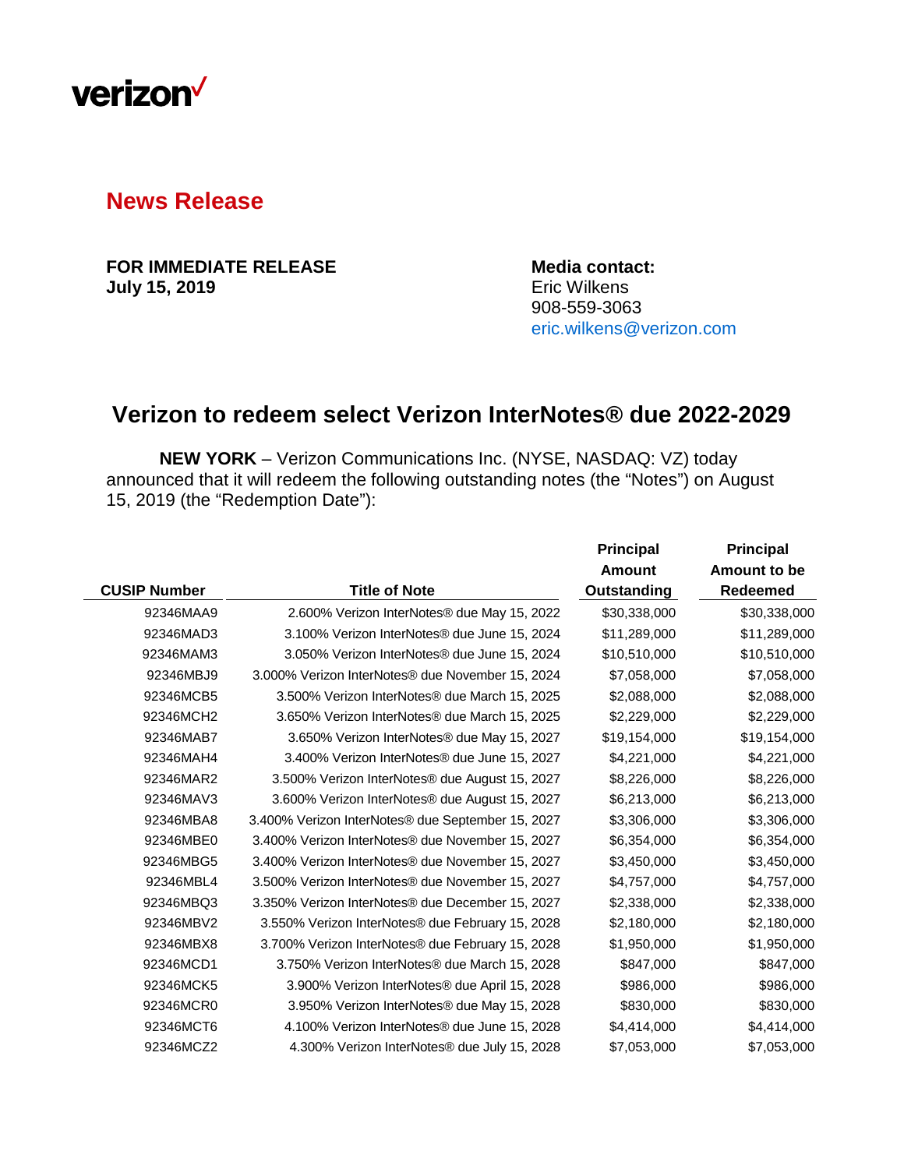

## **News Release**

**FOR IMMEDIATE RELEASE Media contact: July 15, 2019** 

908-559-3063 [eric.wilkens@verizon.com](mailto:eric.wilkens@verizon.com)

## **Verizon to redeem select Verizon InterNotes® due 2022-2029**

**NEW YORK** – Verizon Communications Inc. (NYSE, NASDAQ: VZ) today announced that it will redeem the following outstanding notes (the "Notes") on August 15, 2019 (the "Redemption Date"):

|                     |                                                              | <b>Principal</b>   | <b>Principal</b> |
|---------------------|--------------------------------------------------------------|--------------------|------------------|
|                     |                                                              | <b>Amount</b>      | Amount to be     |
| <b>CUSIP Number</b> | <b>Title of Note</b>                                         | <b>Outstanding</b> | Redeemed         |
| 92346MAA9           | 2.600% Verizon InterNotes® due May 15, 2022                  | \$30,338,000       | \$30,338,000     |
| 92346MAD3           | 3.100% Verizon InterNotes® due June 15, 2024                 | \$11,289,000       | \$11,289,000     |
| 92346MAM3           | 3.050% Verizon InterNotes <sup>®</sup> due June 15, 2024     | \$10,510,000       | \$10,510,000     |
| 92346MBJ9           | 3.000% Verizon InterNotes <sup>®</sup> due November 15, 2024 | \$7,058,000        | \$7,058,000      |
| 92346MCB5           | 3.500% Verizon InterNotes® due March 15, 2025                | \$2,088,000        | \$2,088,000      |
| 92346MCH2           | 3.650% Verizon InterNotes® due March 15, 2025                | \$2,229,000        | \$2,229,000      |
| 92346MAB7           | 3.650% Verizon InterNotes® due May 15, 2027                  | \$19,154,000       | \$19,154,000     |
| 92346MAH4           | 3.400% Verizon InterNotes® due June 15, 2027                 | \$4,221,000        | \$4,221,000      |
| 92346MAR2           | 3.500% Verizon InterNotes® due August 15, 2027               | \$8,226,000        | \$8,226,000      |
| 92346MAV3           | 3.600% Verizon InterNotes <sup>®</sup> due August 15, 2027   | \$6,213,000        | \$6,213,000      |
| 92346MBA8           | 3.400% Verizon InterNotes® due September 15, 2027            | \$3,306,000        | \$3,306,000      |
| 92346MBE0           | 3.400% Verizon InterNotes® due November 15, 2027             | \$6,354,000        | \$6,354,000      |
| 92346MBG5           | 3.400% Verizon InterNotes® due November 15, 2027             | \$3,450,000        | \$3,450,000      |
| 92346MBL4           | 3.500% Verizon InterNotes® due November 15, 2027             | \$4,757,000        | \$4,757,000      |
| 92346MBQ3           | 3.350% Verizon InterNotes® due December 15, 2027             | \$2,338,000        | \$2,338,000      |
| 92346MBV2           | 3.550% Verizon InterNotes <sup>®</sup> due February 15, 2028 | \$2,180,000        | \$2,180,000      |
| 92346MBX8           | 3.700% Verizon InterNotes <sup>®</sup> due February 15, 2028 | \$1,950,000        | \$1,950,000      |
| 92346MCD1           | 3.750% Verizon InterNotes® due March 15, 2028                | \$847,000          | \$847,000        |
| 92346MCK5           | 3.900% Verizon InterNotes® due April 15, 2028                | \$986,000          | \$986,000        |
| 92346MCR0           | 3.950% Verizon InterNotes® due May 15, 2028                  | \$830,000          | \$830,000        |
| 92346MCT6           | 4.100% Verizon InterNotes® due June 15, 2028                 | \$4,414,000        | \$4,414,000      |
| 92346MCZ2           | 4.300% Verizon InterNotes® due July 15, 2028                 | \$7,053,000        | \$7,053,000      |